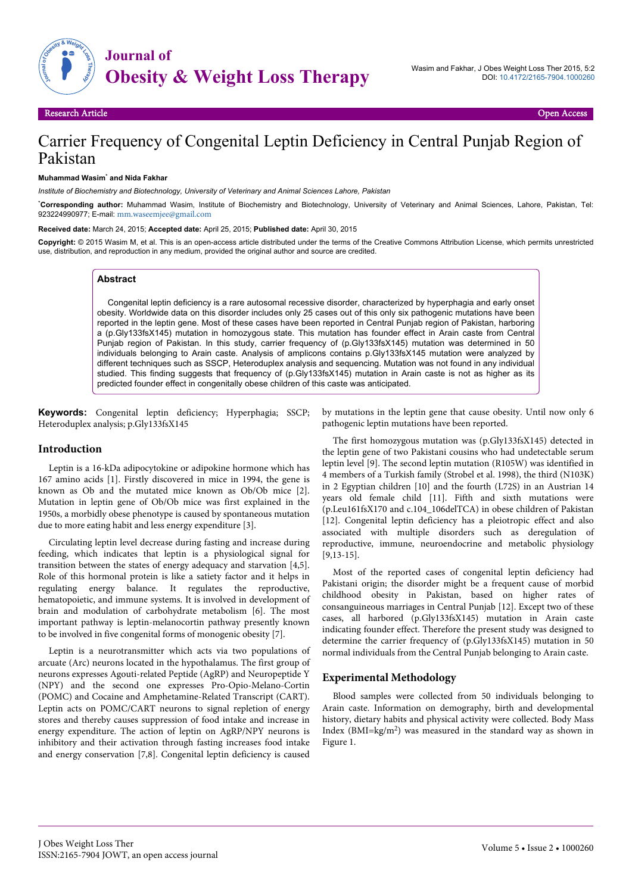

# Carrier Frequency of Congenital Leptin Deficiency in Central Punjab Region of Pakistan

#### **Muhammad Wasim**\*  **and Nida Fakhar**

*Institute of Biochemistry and Biotechnology, University of Veterinary and Animal Sciences Lahore, Pakistan*

\***Corresponding author:** Muhammad Wasim, Institute of Biochemistry and Biotechnology, University of Veterinary and Animal Sciences, Lahore, Pakistan, Tel: 923224990977; E-mail: [mm.waseemjee@gmail.com](mailto:mm.waseemjee@gmail.com)

**Received date:** March 24, 2015; **Accepted date:** April 25, 2015; **Published date:** April 30, 2015

**Copyright:** © 2015 Wasim M, et al. This is an open-access article distributed under the terms of the Creative Commons Attribution License, which permits unrestricted use, distribution, and reproduction in any medium, provided the original author and source are credited.

#### **Abstract**

Congenital leptin deficiency is a rare autosomal recessive disorder, characterized by hyperphagia and early onset obesity. Worldwide data on this disorder includes only 25 cases out of this only six pathogenic mutations have been reported in the leptin gene. Most of these cases have been reported in Central Punjab region of Pakistan, harboring a (p.Gly133fsX145) mutation in homozygous state. This mutation has founder effect in Arain caste from Central Punjab region of Pakistan. In this study, carrier frequency of (p.Gly133fsX145) mutation was determined in 50 individuals belonging to Arain caste. Analysis of amplicons contains p.Gly133fsX145 mutation were analyzed by different techniques such as SSCP, Heteroduplex analysis and sequencing. Mutation was not found in any individual studied. This finding suggests that frequency of (p.Gly133fsX145) mutation in Arain caste is not as higher as its predicted founder effect in congenitally obese children of this caste was anticipated.

**Keywords:** Congenital leptin deficiency; Hyperphagia; SSCP; Heteroduplex analysis; p.Gly133fsX145

#### **Introduction**

Leptin is a 16-kDa adipocytokine or adipokine hormone which has 167 amino acids [1]. Firstly discovered in mice in 1994, the gene is known as Ob and the mutated mice known as Ob/Ob mice [2]. Mutation in leptin gene of Ob/Ob mice was first explained in the 1950s, a morbidly obese phenotype is caused by spontaneous mutation due to more eating habit and less energy expenditure [3].

Circulating leptin level decrease during fasting and increase during feeding, which indicates that leptin is a physiological signal for transition between the states of energy adequacy and starvation [4,5]. Role of this hormonal protein is like a satiety factor and it helps in regulating energy balance. It regulates the reproductive, hematopoietic, and immune systems. It is involved in development of brain and modulation of carbohydrate metabolism [6]. The most important pathway is leptin-melanocortin pathway presently known to be involved in five congenital forms of monogenic obesity [7].

Leptin is a neurotransmitter which acts via two populations of arcuate (Arc) neurons located in the hypothalamus. The first group of neurons expresses Agouti-related Peptide (AgRP) and Neuropeptide Y (NPY) and the second one expresses Pro-Opio-Melano-Cortin (POMC) and Cocaine and Amphetamine-Related Transcript (CART). Leptin acts on POMC/CART neurons to signal repletion of energy stores and thereby causes suppression of food intake and increase in energy expenditure. The action of leptin on AgRP/NPY neurons is inhibitory and their activation through fasting increases food intake and energy conservation [7,8]. Congenital leptin deficiency is caused

by mutations in the leptin gene that cause obesity. Until now only 6 pathogenic leptin mutations have been reported.

The first homozygous mutation was (p.Gly133fsX145) detected in the leptin gene of two Pakistani cousins who had undetectable serum leptin level [9]. The second leptin mutation (R105W) was identified in 4 members of a Turkish family (Strobel et al. 1998), the third (N103K) in 2 Egyptian children [10] and the fourth (L72S) in an Austrian 14 years old female child [11]. Fifth and sixth mutations were (p.Leu161fsX170 and c.104\_106delTCA) in obese children of Pakistan [12]. Congenital leptin deficiency has a pleiotropic effect and also associated with multiple disorders such as deregulation of reproductive, immune, neuroendocrine and metabolic physiology [9,13-15].

Most of the reported cases of congenital leptin deficiency had Pakistani origin; the disorder might be a frequent cause of morbid childhood obesity in Pakistan, based on higher rates of consanguineous marriages in Central Punjab [12]. Except two of these cases, all harbored (p.Gly133fsX145) mutation in Arain caste indicating founder effect. Therefore the present study was designed to determine the carrier frequency of (p.Gly133fsX145) mutation in 50 normal individuals from the Central Punjab belonging to Arain caste.

## **Experimental Methodology**

Blood samples were collected from 50 individuals belonging to Arain caste. Information on demography, birth and developmental history, dietary habits and physical activity were collected. Body Mass Index (BMI=kg/m<sup>2</sup>) was measured in the standard way as shown in Figure 1.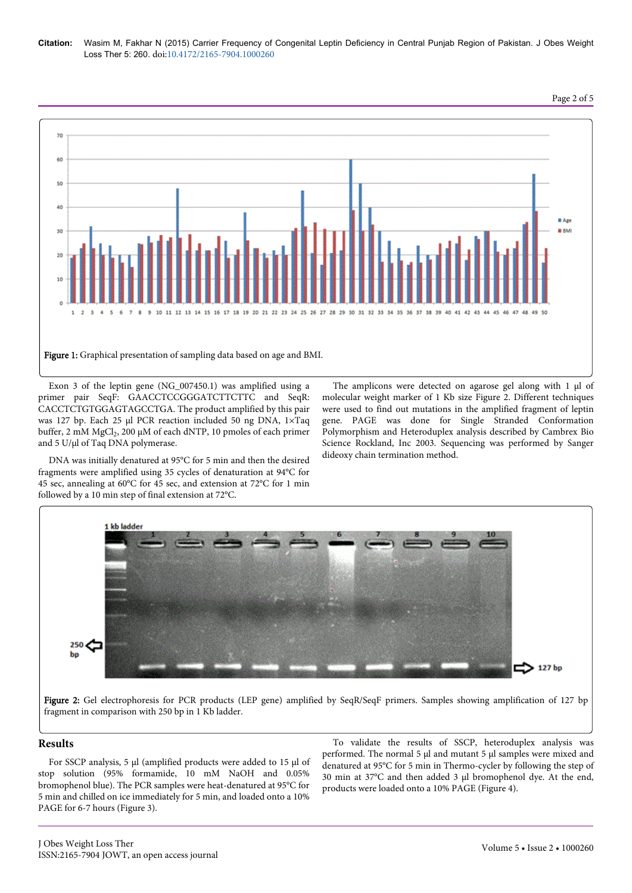## **Citation:** Wasim M, Fakhar N (2015) Carrier Frequency of Congenital Leptin Deficiency in Central Punjab Region of Pakistan. J Obes Weight Loss Ther 5: 260. doi:10.4172/2165-7904.1000260



Exon 3 of the leptin gene (NG\_007450.1) was amplified using a primer pair SeqF: GAACCTCCGGGATCTTCTTC and SeqR: CACCTCTGTGGAGTAGCCTGA. The product amplified by this pair was 127 bp. Each 25 μl PCR reaction included 50 ng DNA, 1×Taq  $buffer$ , 2 mM MgCl<sub>2</sub>, 200 μM of each dNTP, 10 pmoles of each primer and 5 U/µl of Taq DNA polymerase.

DNA was initially denatured at 95°C for 5 min and then the desired fragments were amplified using 35 cycles of denaturation at 94°C for 45 sec, annealing at 60°C for 45 sec, and extension at 72°C for 1 min followed by a 10 min step of final extension at 72°C.

The amplicons were detected on agarose gel along with 1 μl of molecular weight marker of 1 Kb size Figure 2. Different techniques were used to find out mutations in the amplified fragment of leptin gene. PAGE was done for Single Stranded Conformation Polymorphism and Heteroduplex analysis described by Cambrex Bio Science Rockland, Inc 2003. Sequencing was performed by Sanger dideoxy chain termination method.

Page 2 of 5



Figure 2: Gel electrophoresis for PCR products (LEP gene) amplified by SeqR/SeqF primers. Samples showing amplification of 127 bp fragment in comparison with 250 bp in 1 Kb ladder.

## **Results**

For SSCP analysis, 5 µl (amplified products were added to 15 µl of stop solution (95% formamide, 10 mM NaOH and 0.05% bromophenol blue). The PCR samples were heat-denatured at 95°C for 5 min and chilled on ice immediately for 5 min, and loaded onto a 10% PAGE for 6-7 hours (Figure 3).

To validate the results of SSCP, heteroduplex analysis was performed. The normal 5 µl and mutant 5 µl samples were mixed and denatured at 95°C for 5 min in Thermo-cycler by following the step of 30 min at 37°C and then added 3 µl bromophenol dye. At the end, products were loaded onto a 10% PAGE (Figure 4).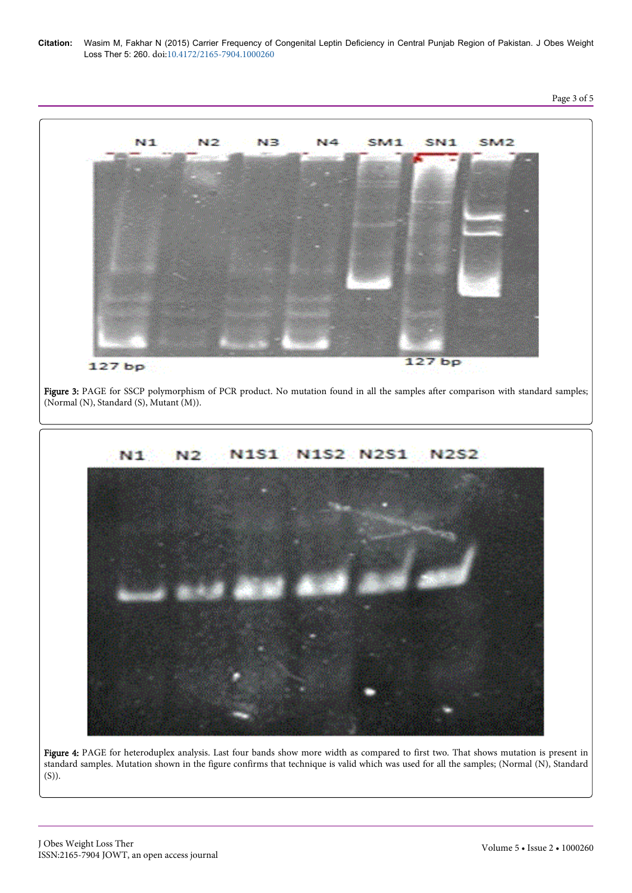**Citation:** Wasim M, Fakhar N (2015) Carrier Frequency of Congenital Leptin Deficiency in Central Punjab Region of Pakistan. J Obes Weight Loss Ther 5: 260. doi:10.4172/2165-7904.1000260



Figure 4: PAGE for heteroduplex analysis. Last four bands show more width as compared to first two. That shows mutation is present in standard samples. Mutation shown in the figure confirms that technique is valid which was used for all the samples; (Normal (N), Standard (S)).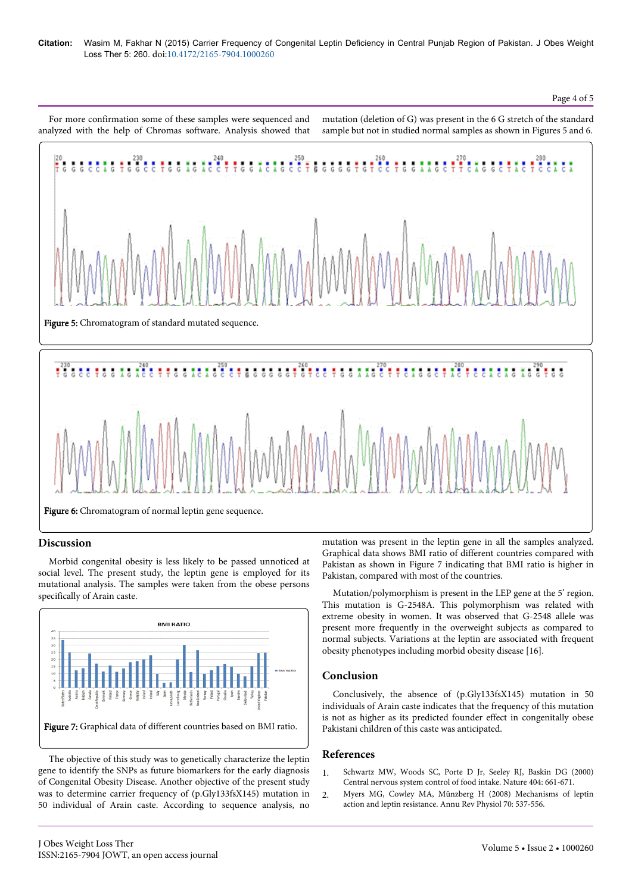#### Page 4 of 5

For more confirmation some of these samples were sequenced and analyzed with the help of Chromas software. Analysis showed that mutation (deletion of G) was present in the 6 G stretch of the standard sample but not in studied normal samples as shown in Figures 5 and 6.



## **Discussion**

Morbid congenital obesity is less likely to be passed unnoticed at social level. The present study, the leptin gene is employed for its mutational analysis. The samples were taken from the obese persons specifically of Arain caste.



The objective of this study was to genetically characterize the leptin gene to identify the SNPs as future biomarkers for the early diagnosis of Congenital Obesity Disease. Another objective of the present study was to determine carrier frequency of (p.Gly133fsX145) mutation in 50 individual of Arain caste. According to sequence analysis, no

mutation was present in the leptin gene in all the samples analyzed. Graphical data shows BMI ratio of different countries compared with Pakistan as shown in Figure 7 indicating that BMI ratio is higher in Pakistan, compared with most of the countries.

Mutation/polymorphism is present in the LEP gene at the 5' region. This mutation is G-2548A. This polymorphism was related with extreme obesity in women. It was observed that G-2548 allele was present more frequently in the overweight subjects as compared to normal subjects. Variations at the leptin are associated with frequent obesity phenotypes including morbid obesity disease [16].

## **Conclusion**

Conclusively, the absence of (p.Gly133fsX145) mutation in 50 individuals of Arain caste indicates that the frequency of this mutation is not as higher as its predicted founder effect in congenitally obese Pakistani children of this caste was anticipated.

## **References**

- 1. [Schwartz MW, Woods SC, Porte D Jr, Seeley RJ, Baskin DG \(2000\)](http://www.ncbi.nlm.nih.gov/pubmed/10766253) [Central nervous system control of food intake. Nature 404: 661-671.](http://www.ncbi.nlm.nih.gov/pubmed/10766253)
- 2. [Myers MG, Cowley MA, Münzberg H \(2008\) Mechanisms of leptin](http://www.ncbi.nlm.nih.gov/pubmed/17937601) [action and leptin resistance. Annu Rev Physiol 70: 537-556.](http://www.ncbi.nlm.nih.gov/pubmed/17937601)